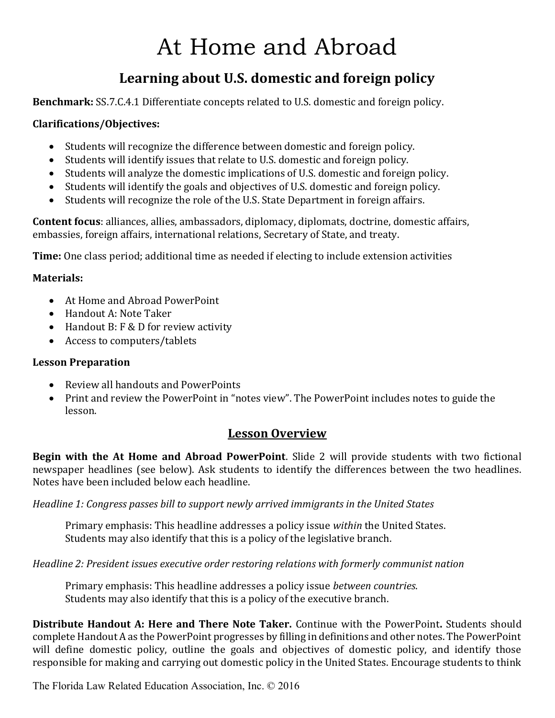# At Home and Abroad

# Learning about U.S. domestic and foreign policy

Benchmark: SS.7.C.4.1 Differentiate concepts related to U.S. domestic and foreign policy.

### Clarifications/Objectives:

- Students will recognize the difference between domestic and foreign policy.
- Students will identify issues that relate to U.S. domestic and foreign policy.
- Students will analyze the domestic implications of U.S. domestic and foreign policy.
- Students will identify the goals and objectives of U.S. domestic and foreign policy.
- Students will recognize the role of the U.S. State Department in foreign affairs.

Content focus: alliances, allies, ambassadors, diplomacy, diplomats, doctrine, domestic affairs, embassies, foreign affairs, international relations, Secretary of State, and treaty.

Time: One class period; additional time as needed if electing to include extension activities

### Materials:

- At Home and Abroad PowerPoint
- Handout A: Note Taker
- Handout B: F & D for review activity
- Access to computers/tablets

### Lesson Preparation

- Review all handouts and PowerPoints
- Print and review the PowerPoint in "notes view". The PowerPoint includes notes to guide the lesson.

## Lesson Overview

Begin with the At Home and Abroad PowerPoint. Slide 2 will provide students with two fictional newspaper headlines (see below). Ask students to identify the differences between the two headlines. Notes have been included below each headline.

Headline 1: Congress passes bill to support newly arrived immigrants in the United States

Primary emphasis: This headline addresses a policy issue within the United States. Students may also identify that this is a policy of the legislative branch.

Headline 2: President issues executive order restoring relations with formerly communist nation

Primary emphasis: This headline addresses a policy issue between countries. Students may also identify that this is a policy of the executive branch.

Distribute Handout A: Here and There Note Taker. Continue with the PowerPoint. Students should complete Handout A as the PowerPoint progresses by filling in definitions and other notes. The PowerPoint will define domestic policy, outline the goals and objectives of domestic policy, and identify those responsible for making and carrying out domestic policy in the United States. Encourage students to think

The Florida Law Related Education Association, Inc. © 2016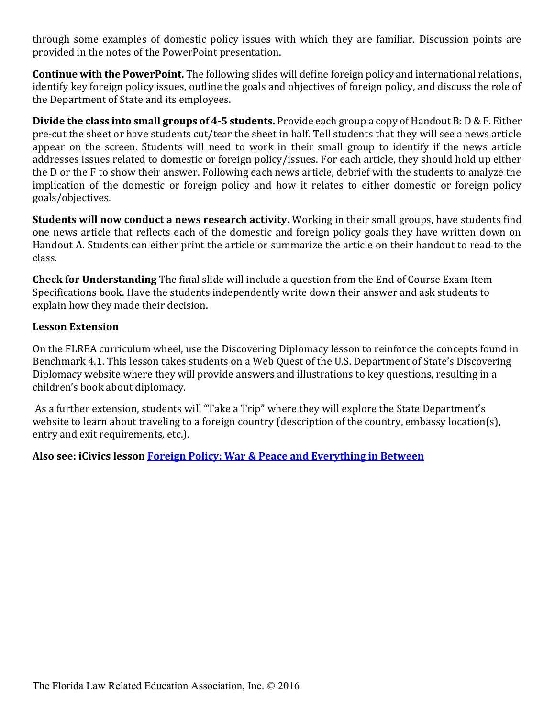through some examples of domestic policy issues with which they are familiar. Discussion points are provided in the notes of the PowerPoint presentation.

Continue with the PowerPoint. The following slides will define foreign policy and international relations, identify key foreign policy issues, outline the goals and objectives of foreign policy, and discuss the role of the Department of State and its employees.

Divide the class into small groups of 4-5 students. Provide each group a copy of Handout B: D & F. Either pre-cut the sheet or have students cut/tear the sheet in half. Tell students that they will see a news article appear on the screen. Students will need to work in their small group to identify if the news article addresses issues related to domestic or foreign policy/issues. For each article, they should hold up either the D or the F to show their answer. Following each news article, debrief with the students to analyze the implication of the domestic or foreign policy and how it relates to either domestic or foreign policy goals/objectives.

Students will now conduct a news research activity. Working in their small groups, have students find one news article that reflects each of the domestic and foreign policy goals they have written down on Handout A. Students can either print the article or summarize the article on their handout to read to the class.

Check for Understanding The final slide will include a question from the End of Course Exam Item Specifications book. Have the students independently write down their answer and ask students to explain how they made their decision.

#### Lesson Extension

On the FLREA curriculum wheel, use the Discovering Diplomacy lesson to reinforce the concepts found in Benchmark 4.1. This lesson takes students on a Web Quest of the U.S. Department of State's Discovering Diplomacy website where they will provide answers and illustrations to key questions, resulting in a children's book about diplomacy.

 As a further extension, students will "Take a Trip" where they will explore the State Department's website to learn about traveling to a foreign country (description of the country, embassy location(s), entry and exit requirements, etc.).

Also see: iCivics lesson Foreign Policy: War & Peace and Everything in Between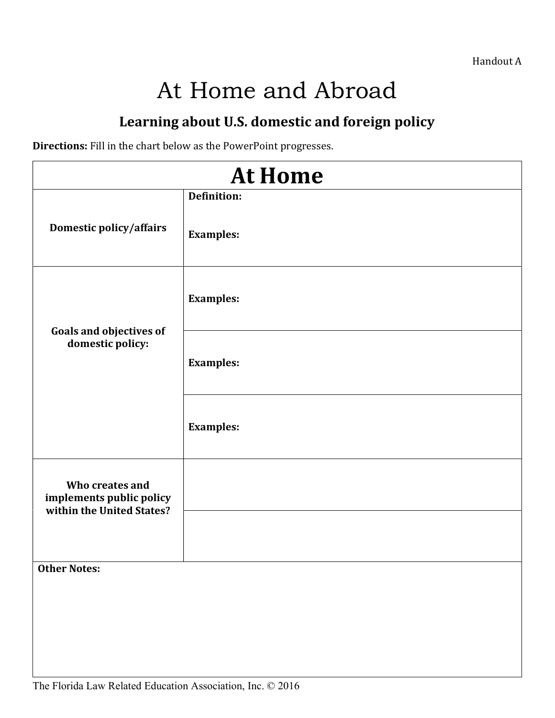Handout A

# At Home and Abroad

## Learning about U.S. domestic and foreign policy

Directions: Fill in the chart below as the PowerPoint progresses.

| <b>At Home</b>                                                           |                    |  |
|--------------------------------------------------------------------------|--------------------|--|
|                                                                          | <b>Definition:</b> |  |
| <b>Domestic policy/affairs</b>                                           | <b>Examples:</b>   |  |
| <b>Goals and objectives of</b><br>domestic policy:                       | <b>Examples:</b>   |  |
|                                                                          | <b>Examples:</b>   |  |
|                                                                          | <b>Examples:</b>   |  |
| Who creates and<br>implements public policy<br>within the United States? |                    |  |
|                                                                          |                    |  |
| <b>Other Notes:</b>                                                      |                    |  |
|                                                                          |                    |  |
|                                                                          |                    |  |
|                                                                          |                    |  |
|                                                                          |                    |  |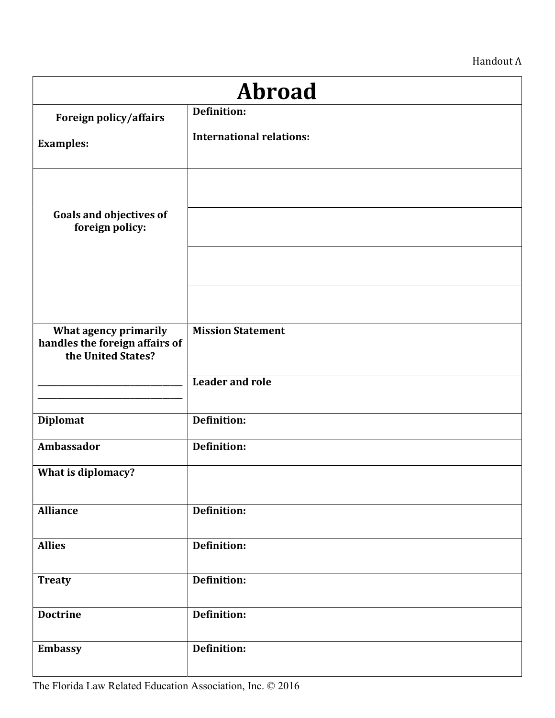#### Handout A

| <b>Abroad</b>                                                                 |                                 |  |
|-------------------------------------------------------------------------------|---------------------------------|--|
| Foreign policy/affairs                                                        | <b>Definition:</b>              |  |
| <b>Examples:</b>                                                              | <b>International relations:</b> |  |
| <b>Goals and objectives of</b>                                                |                                 |  |
| foreign policy:                                                               |                                 |  |
|                                                                               |                                 |  |
|                                                                               |                                 |  |
| What agency primarily<br>handles the foreign affairs of<br>the United States? | <b>Mission Statement</b>        |  |
|                                                                               | <b>Leader and role</b>          |  |
| <b>Diplomat</b>                                                               | <b>Definition:</b>              |  |
| Ambassador                                                                    | <b>Definition:</b>              |  |
| What is diplomacy?                                                            |                                 |  |
| <b>Alliance</b>                                                               | <b>Definition:</b>              |  |
| <b>Allies</b>                                                                 | Definition:                     |  |
| <b>Treaty</b>                                                                 | <b>Definition:</b>              |  |
| <b>Doctrine</b>                                                               | <b>Definition:</b>              |  |
| <b>Embassy</b>                                                                | <b>Definition:</b>              |  |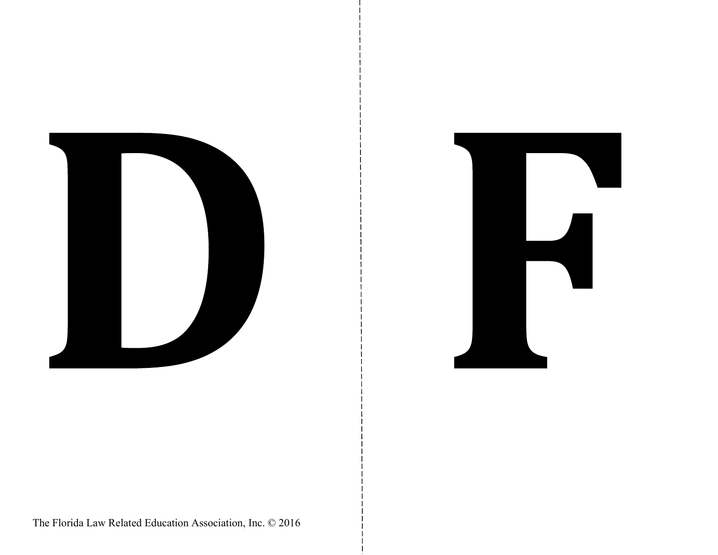



The Florida Law Related Education Association, Inc. © 2016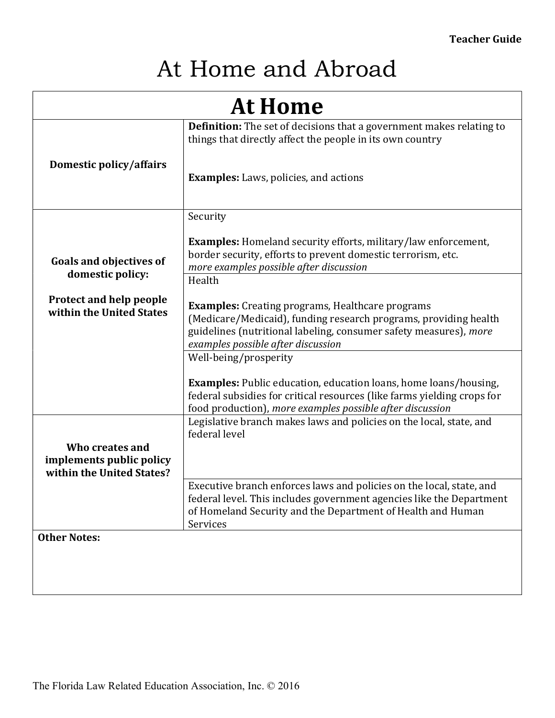# At Home and Abroad

| <b>At Home</b>                                                           |                                                                                                                                                                                                                                        |  |
|--------------------------------------------------------------------------|----------------------------------------------------------------------------------------------------------------------------------------------------------------------------------------------------------------------------------------|--|
|                                                                          | Definition: The set of decisions that a government makes relating to<br>things that directly affect the people in its own country                                                                                                      |  |
| Domestic policy/affairs                                                  | <b>Examples:</b> Laws, policies, and actions                                                                                                                                                                                           |  |
|                                                                          | Security                                                                                                                                                                                                                               |  |
| <b>Goals and objectives of</b><br>domestic policy:                       | <b>Examples:</b> Homeland security efforts, military/law enforcement,<br>border security, efforts to prevent domestic terrorism, etc.<br>more examples possible after discussion                                                       |  |
|                                                                          | Health                                                                                                                                                                                                                                 |  |
| <b>Protect and help people</b><br>within the United States               | <b>Examples:</b> Creating programs, Healthcare programs<br>(Medicare/Medicaid), funding research programs, providing health<br>guidelines (nutritional labeling, consumer safety measures), more<br>examples possible after discussion |  |
|                                                                          | Well-being/prosperity                                                                                                                                                                                                                  |  |
|                                                                          | <b>Examples:</b> Public education, education loans, home loans/housing,<br>federal subsidies for critical resources (like farms yielding crops for<br>food production), more examples possible after discussion                        |  |
|                                                                          | Legislative branch makes laws and policies on the local, state, and<br>federal level                                                                                                                                                   |  |
| Who creates and<br>implements public policy<br>within the United States? |                                                                                                                                                                                                                                        |  |
|                                                                          | Executive branch enforces laws and policies on the local, state, and<br>federal level. This includes government agencies like the Department<br>of Homeland Security and the Department of Health and Human<br>Services                |  |
| <b>Other Notes:</b>                                                      |                                                                                                                                                                                                                                        |  |
|                                                                          |                                                                                                                                                                                                                                        |  |